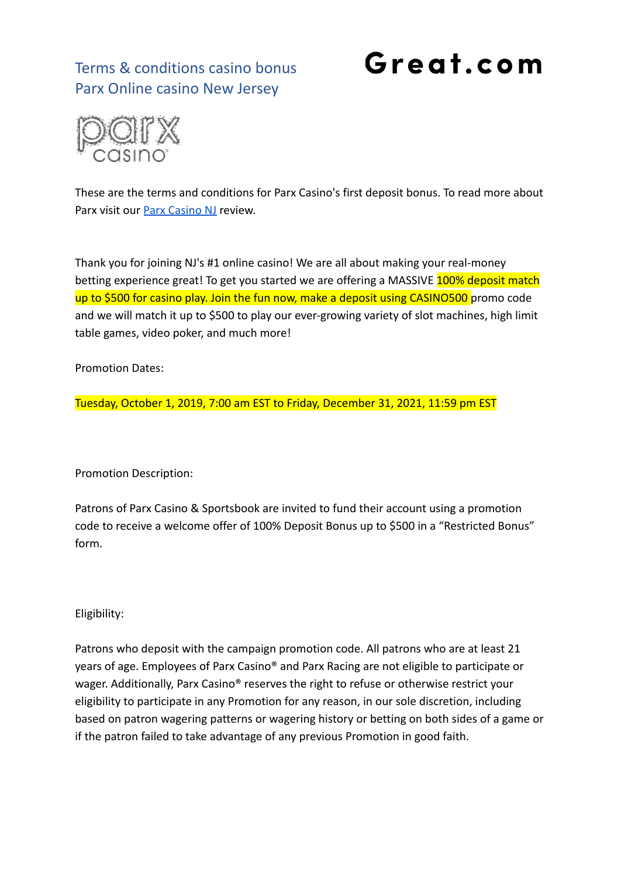## Terms & conditions casino bonus Parx Online casino New Jersey

## Great.com



These are the terms and conditions for Parx Casino's first deposit bonus. To read more about Parx visit our [Parx Casino NJ](https://great.com/en-us/online-casino/parx-online-casino-nj/) review.

Thank you for joining NJ's #1 online casino! We are all about making your real-money betting experience great! To get you started we are offering a MASSIVE 100% deposit match up to \$500 for casino play. Join the fun now, make a deposit using CASINO500 promo code and we will match it up to \$500 to play our ever-growing variety of slot machines, high limit table games, video poker, and much more!

Promotion Dates:

Tuesday, October 1, 2019, 7:00 am EST to Friday, December 31, 2021, 11:59 pm EST

Promotion Description:

Patrons of Parx Casino & Sportsbook are invited to fund their account using a promotion code to receive a welcome offer of 100% Deposit Bonus up to \$500 in a "Restricted Bonus" form.

Eligibility:

Patrons who deposit with the campaign promotion code. All patrons who are at least 21 years of age. Employees of Parx Casino® and Parx Racing are not eligible to participate or wager. Additionally, Parx Casino<sup>®</sup> reserves the right to refuse or otherwise restrict your eligibility to participate in any Promotion for any reason, in our sole discretion, including based on patron wagering patterns or wagering history or betting on both sides of a game or if the patron failed to take advantage of any previous Promotion in good faith.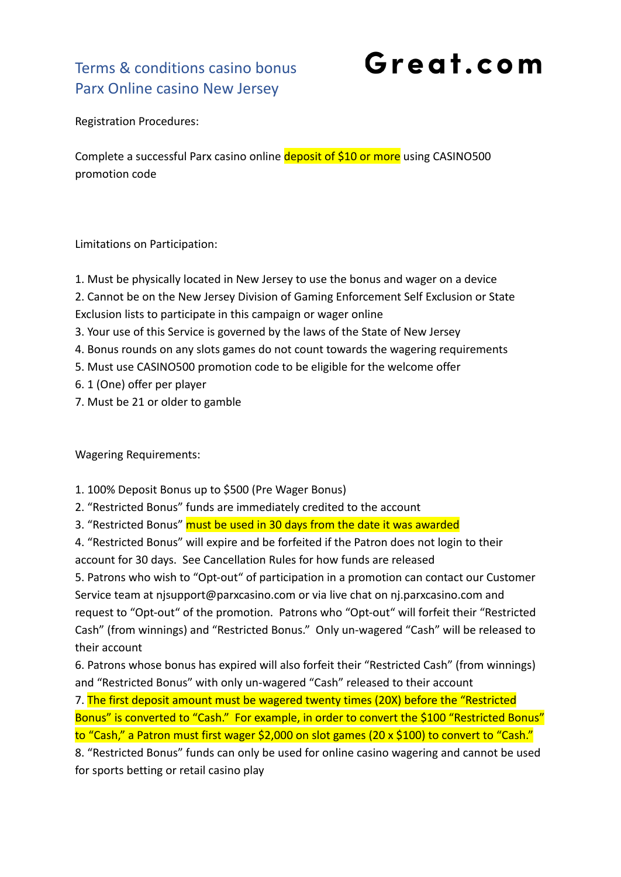## Terms & conditions casino bonus Parx Online casino New Jersey

Great.com

Registration Procedures:

Complete a successful Parx casino online deposit of \$10 or more using CASINO500 promotion code

Limitations on Participation:

1. Must be physically located in New Jersey to use the bonus and wager on a device

2. Cannot be on the New Jersey Division of Gaming Enforcement Self Exclusion or State Exclusion lists to participate in this campaign or wager online

- 3. Your use of this Service is governed by the laws of the State of New Jersey
- 4. Bonus rounds on any slots games do not count towards the wagering requirements
- 5. Must use CASINO500 promotion code to be eligible for the welcome offer
- 6. 1 (One) offer per player
- 7. Must be 21 or older to gamble

Wagering Requirements:

- 1. 100% Deposit Bonus up to \$500 (Pre Wager Bonus)
- 2. "Restricted Bonus" funds are immediately credited to the account

3. "Restricted Bonus" must be used in 30 days from the date it was awarded

4. "Restricted Bonus" will expire and be forfeited if the Patron does not login to their account for 30 days. See Cancellation Rules for how funds are released

5. Patrons who wish to "Opt-out" of participation in a promotion can contact our Customer Service team at njsupport@parxcasino.com or via live chat on nj.parxcasino.com and request to "Opt-out" of the promotion. Patrons who "Opt-out" will forfeit their "Restricted Cash" (from winnings) and "Restricted Bonus." Only un-wagered "Cash" will be released to their account

6. Patrons whose bonus has expired will also forfeit their "Restricted Cash" (from winnings) and "Restricted Bonus" with only un-wagered "Cash" released to their account

7. The first deposit amount must be wagered twenty times (20X) before the "Restricted Bonus" is converted to "Cash." For example, in order to convert the \$100 "Restricted Bonus" to "Cash," a Patron must first wager \$2,000 on slot games (20 x \$100) to convert to "Cash."

8. "Restricted Bonus" funds can only be used for online casino wagering and cannot be used for sports betting or retail casino play